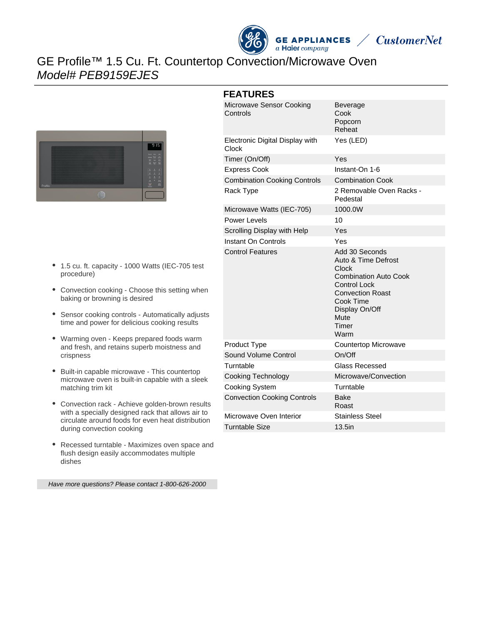



# GE Profile™ 1.5 Cu. Ft. Countertop Convection/Microwave Oven Model# PEB9159EJES



- 1.5 cu. ft. capacity 1000 Watts (IEC-705 test procedure)
- Convection cooking Choose this setting when baking or browning is desired
- Sensor cooking controls Automatically adjusts time and power for delicious cooking results
- Warming oven Keeps prepared foods warm and fresh, and retains superb moistness and crispness
- Built-in capable microwave This countertop microwave oven is built-in capable with a sleek matching trim kit
- Convection rack Achieve golden-brown results with a specially designed rack that allows air to circulate around foods for even heat distribution during convection cooking
- Recessed turntable Maximizes oven space and flush design easily accommodates multiple dishes

Have more questions? Please contact 1-800-626-2000

| Microwave Sensor Cooking<br>Controls     | <b>Beverage</b><br>Cook<br>Popcorn<br>Reheat                                                                                                                                             |
|------------------------------------------|------------------------------------------------------------------------------------------------------------------------------------------------------------------------------------------|
| Electronic Digital Display with<br>Clock | Yes (LED)                                                                                                                                                                                |
| Timer (On/Off)                           | Yes                                                                                                                                                                                      |
| <b>Express Cook</b>                      | Instant-On 1-6                                                                                                                                                                           |
| <b>Combination Cooking Controls</b>      | <b>Combination Cook</b>                                                                                                                                                                  |
| Rack Type                                | 2 Removable Oven Racks -<br>Pedestal                                                                                                                                                     |
| Microwave Watts (IEC-705)                | 1000.0W                                                                                                                                                                                  |
| Power Levels                             | 10                                                                                                                                                                                       |
| Scrolling Display with Help              | Yes                                                                                                                                                                                      |
| Instant On Controls                      | Yes                                                                                                                                                                                      |
| <b>Control Features</b>                  | Add 30 Seconds<br>Auto & Time Defrost<br>Clock<br><b>Combination Auto Cook</b><br><b>Control Lock</b><br><b>Convection Roast</b><br>Cook Time<br>Display On/Off<br>Mute<br>Timer<br>Warm |
| Product Type                             | Countertop Microwave                                                                                                                                                                     |
| Sound Volume Control                     | On/Off                                                                                                                                                                                   |
| Turntable                                | <b>Glass Recessed</b>                                                                                                                                                                    |
| <b>Cooking Technology</b>                | Microwave/Convection                                                                                                                                                                     |
| Cooking System                           | Turntable                                                                                                                                                                                |
| <b>Convection Cooking Controls</b>       | <b>Bake</b><br>Roast                                                                                                                                                                     |
| Microwave Oven Interior                  | <b>Stainless Steel</b>                                                                                                                                                                   |
| <b>Turntable Size</b>                    | 13.5in                                                                                                                                                                                   |